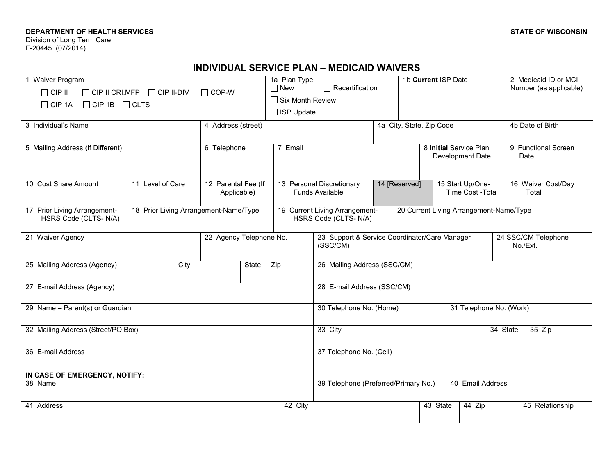### **DEPARTMENT OF HEALTH SERVICES**

Division of Long Term Care F-20445 (07/2014)

# **INDIVIDUAL SERVICE PLAN – MEDICAID WAIVERS**

| 1 Waiver Program<br>$\Box$ CIP II<br>$\Box$ COP-W<br>$\Box$ CIP II CRI.MFP $\Box$ CIP II-DIV<br>$\Box$ CIP 1A<br>$\Box$ CIP 1B $\Box$ CLTS |                    |  |                                    |  | 1a Plan Type<br>$\Box$ New<br>$\Box$ Six Month Review<br>$\Box$ ISP Update | $\Box$ Recertification                                   |                                            |                                                        | 1b Current ISP Date |                             |                                         | 2 Medicaid ID or MCI<br>Number (as applicable) |
|--------------------------------------------------------------------------------------------------------------------------------------------|--------------------|--|------------------------------------|--|----------------------------------------------------------------------------|----------------------------------------------------------|--------------------------------------------|--------------------------------------------------------|---------------------|-----------------------------|-----------------------------------------|------------------------------------------------|
| 3 Individual's Name                                                                                                                        | 4 Address (street) |  |                                    |  | 4a City, State, Zip Code                                                   |                                                          |                                            |                                                        | 4b Date of Birth    |                             |                                         |                                                |
| 5 Mailing Address (If Different)                                                                                                           |                    |  | 6 Telephone                        |  | 7 Email                                                                    |                                                          | 8 Initial Service Plan<br>Development Date |                                                        |                     | 9 Functional Screen<br>Date |                                         |                                                |
| 10 Cost Share Amount                                                                                                                       | 11 Level of Care   |  | 12 Parental Fee (If<br>Applicable) |  | 13 Personal Discretionary<br><b>Funds Available</b>                        |                                                          |                                            | 14 [Reserved]<br>15 Start Up/One-<br>Time Cost - Total |                     | 16 Waiver Cost/Day<br>Total |                                         |                                                |
| 17 Prior Living Arrangement-<br>18 Prior Living Arrangement-Name/Type<br>HSRS Code (CLTS-N/A)                                              |                    |  |                                    |  | 19 Current Living Arrangement-<br>HSRS Code (CLTS-N/A)                     |                                                          |                                            |                                                        |                     |                             | 20 Current Living Arrangement-Name/Type |                                                |
| 21 Waiver Agency                                                                                                                           |                    |  | 22 Agency Telephone No.            |  | (SSC/CM)                                                                   |                                                          |                                            | 23 Support & Service Coordinator/Care Manager          |                     |                             | 24 SSC/CM Telephone<br>No./Ext.         |                                                |
| 25 Mailing Address (Agency)<br>City                                                                                                        |                    |  | State<br>Zip                       |  |                                                                            | 26 Mailing Address (SSC/CM)                              |                                            |                                                        |                     |                             |                                         |                                                |
| 27 E-mail Address (Agency)                                                                                                                 |                    |  |                                    |  | 28 E-mail Address (SSC/CM)                                                 |                                                          |                                            |                                                        |                     |                             |                                         |                                                |
| 29 Name - Parent(s) or Guardian                                                                                                            |                    |  |                                    |  |                                                                            | 30 Telephone No. (Home)<br>31 Telephone No. (Work)       |                                            |                                                        |                     |                             |                                         |                                                |
| 32 Mailing Address (Street/PO Box)                                                                                                         |                    |  |                                    |  |                                                                            | 33 City<br>34 State<br>35 Zip                            |                                            |                                                        |                     |                             |                                         |                                                |
| 36 E-mail Address                                                                                                                          |                    |  |                                    |  | 37 Telephone No. (Cell)                                                    |                                                          |                                            |                                                        |                     |                             |                                         |                                                |
| IN CASE OF EMERGENCY, NOTIFY:<br>38 Name                                                                                                   |                    |  |                                    |  |                                                                            | 39 Telephone (Preferred/Primary No.)<br>40 Email Address |                                            |                                                        |                     |                             |                                         |                                                |
| 41 Address                                                                                                                                 |                    |  |                                    |  | 42 City                                                                    |                                                          |                                            |                                                        | 43 State            | 44 Zip                      |                                         | 45 Relationship                                |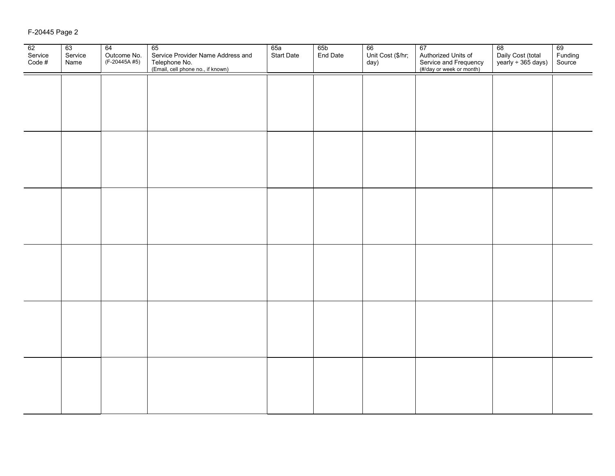## F-20445 Page 2

| 62<br>Service<br>Code # | 63<br>Service<br>Name | 64<br>Outcome No.<br>(F-20445A #5) | 65<br>Service Provider Name Address and<br>Telephone No.<br>(Email, cell phone no., if known) | 65a<br>Start Date | 65b<br>End Date | 66<br>Unit Cost (\$/hr;<br>day) | 67<br>Authorized Units of<br>Service and Frequency<br>(#/day or week or month) | 68<br>Daily Cost (total<br>yearly ÷ 365 days) | 69<br>Funding<br>Source |
|-------------------------|-----------------------|------------------------------------|-----------------------------------------------------------------------------------------------|-------------------|-----------------|---------------------------------|--------------------------------------------------------------------------------|-----------------------------------------------|-------------------------|
|                         |                       |                                    |                                                                                               |                   |                 |                                 |                                                                                |                                               |                         |
|                         |                       |                                    |                                                                                               |                   |                 |                                 |                                                                                |                                               |                         |
|                         |                       |                                    |                                                                                               |                   |                 |                                 |                                                                                |                                               |                         |
|                         |                       |                                    |                                                                                               |                   |                 |                                 |                                                                                |                                               |                         |
|                         |                       |                                    |                                                                                               |                   |                 |                                 |                                                                                |                                               |                         |
|                         |                       |                                    |                                                                                               |                   |                 |                                 |                                                                                |                                               |                         |
|                         |                       |                                    |                                                                                               |                   |                 |                                 |                                                                                |                                               |                         |
|                         |                       |                                    |                                                                                               |                   |                 |                                 |                                                                                |                                               |                         |
|                         |                       |                                    |                                                                                               |                   |                 |                                 |                                                                                |                                               |                         |
|                         |                       |                                    |                                                                                               |                   |                 |                                 |                                                                                |                                               |                         |
|                         |                       |                                    |                                                                                               |                   |                 |                                 |                                                                                |                                               |                         |
|                         |                       |                                    |                                                                                               |                   |                 |                                 |                                                                                |                                               |                         |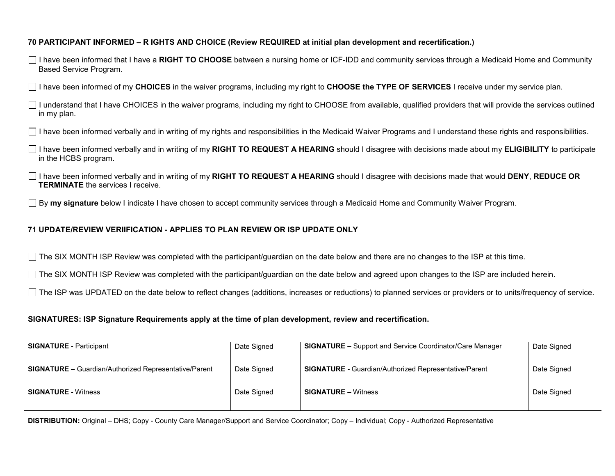### **70 PARTICIPANT INFORMED – R IGHTS AND CHOICE (Review REQUIRED at initial plan development and recertification.)**

I have been informed that I have a **RIGHT TO CHOOSE** between a nursing home or ICF-IDD and community services through a Medicaid Home and Community Based Service Program.

I have been informed of my **CHOICES** in the waiver programs, including my right to **CHOOSE the TYPE OF SERVICES** I receive under my service plan.

 $\Box$  I understand that I have CHOICES in the waiver programs, including my right to CHOOSE from available, qualified providers that will provide the services outlined in my plan.

I have been informed verbally and in writing of my rights and responsibilities in the Medicaid Waiver Programs and I understand these rights and responsibilities.

- I have been informed verbally and in writing of my **RIGHT TO REQUEST A HEARING** should I disagree with decisions made about my **ELIGIBILITY** to participate in the HCBS program.
- I have been informed verbally and in writing of my **RIGHT TO REQUEST A HEARING** should I disagree with decisions made that would **DENY**, **REDUCE OR TERMINATE** the services I receive.

By **my signature** below I indicate I have chosen to accept community services through a Medicaid Home and Community Waiver Program.

#### **71 UPDATE/REVIEW VERIIFICATION - APPLIES TO PLAN REVIEW OR ISP UPDATE ONLY**

 $\Box$  The SIX MONTH ISP Review was completed with the participant/guardian on the date below and there are no changes to the ISP at this time.

 $\Box$  The SIX MONTH ISP Review was completed with the participant/guardian on the date below and agreed upon changes to the ISP are included herein.

The ISP was UPDATED on the date below to reflect changes (additions, increases or reductions) to planned services or providers or to units/frequency of service.

#### **SIGNATURES: ISP Signature Requirements apply at the time of plan development, review and recertification.**

| <b>SIGNATURE</b> - Participant                               | Date Signed | <b>SIGNATURE –</b> Support and Service Coordinator/Care Manager | Date Signed |
|--------------------------------------------------------------|-------------|-----------------------------------------------------------------|-------------|
| <b>SIGNATURE</b> – Guardian/Authorized Representative/Parent | Date Signed | <b>SIGNATURE - Guardian/Authorized Representative/Parent</b>    | Date Signed |
| <b>SIGNATURE</b> - Witness                                   | Date Signed | <b>SIGNATURE – Witness</b>                                      | Date Signed |

**DISTRIBUTION:** Original – DHS; Copy - County Care Manager/Support and Service Coordinator; Copy – Individual; Copy - Authorized Representative